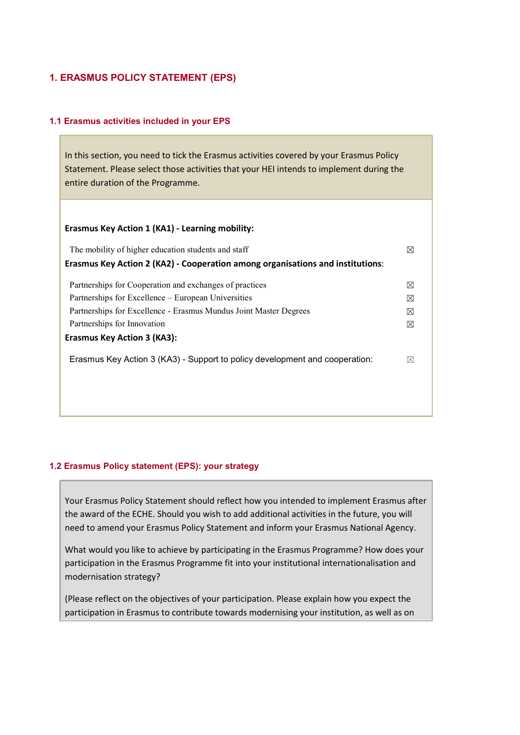# 1. ERASMUS POLICY STATEMENT (EPS)

## 1.1 Erasmus activities included in your EPS

In this section, you need to tick the Erasmus activities covered by your Erasmus Policy Statement. Please select those activities that your HEI intends to implement during the entire duration of the Programme.

#### Erasmus Key Action 1 (KA1) - Learning mobility:

| The mobility of higher education students and staff                            | ⋈           |
|--------------------------------------------------------------------------------|-------------|
| Erasmus Key Action 2 (KA2) - Cooperation among organisations and institutions: |             |
| Partnerships for Cooperation and exchanges of practices                        | $\boxtimes$ |
| Partnerships for Excellence – European Universities                            | ⊠           |
| Partnerships for Excellence - Erasmus Mundus Joint Master Degrees              | ⊠           |
| Partnerships for Innovation                                                    | $\boxtimes$ |
| <b>Erasmus Key Action 3 (KA3):</b>                                             |             |
| Erasmus Key Action 3 (KA3) - Support to policy development and cooperation:    | $\boxtimes$ |
|                                                                                |             |
|                                                                                |             |

## 1.2 Erasmus Policy statement (EPS): your strategy

Your Erasmus Policy Statement should reflect how you intended to implement Erasmus after the award of the ECHE. Should you wish to add additional activities in the future, you will need to amend your Erasmus Policy Statement and inform your Erasmus National Agency.

What would you like to achieve by participating in the Erasmus Programme? How does your participation in the Erasmus Programme fit into your institutional internationalisation and modernisation strategy?

(Please reflect on the objectives of your participation. Please explain how you expect the participation in Erasmus to contribute towards modernising your institution, as well as on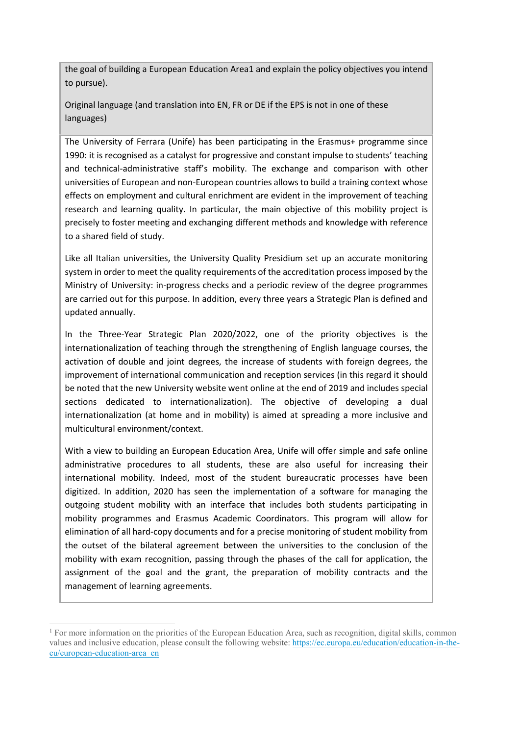the goal of building a European Education Area1 and explain the policy objectives you intend to pursue).

Original language (and translation into EN, FR or DE if the EPS is not in one of these languages)

The University of Ferrara (Unife) has been participating in the Erasmus+ programme since 1990: it is recognised as a catalyst for progressive and constant impulse to students' teaching and technical-administrative staff's mobility. The exchange and comparison with other universities of European and non-European countries allows to build a training context whose effects on employment and cultural enrichment are evident in the improvement of teaching research and learning quality. In particular, the main objective of this mobility project is precisely to foster meeting and exchanging different methods and knowledge with reference to a shared field of study.

Like all Italian universities, the University Quality Presidium set up an accurate monitoring system in order to meet the quality requirements of the accreditation process imposed by the Ministry of University: in-progress checks and a periodic review of the degree programmes are carried out for this purpose. In addition, every three years a Strategic Plan is defined and updated annually.

In the Three-Year Strategic Plan 2020/2022, one of the priority objectives is the internationalization of teaching through the strengthening of English language courses, the activation of double and joint degrees, the increase of students with foreign degrees, the improvement of international communication and reception services (in this regard it should be noted that the new University website went online at the end of 2019 and includes special sections dedicated to internationalization). The objective of developing a dual internationalization (at home and in mobility) is aimed at spreading a more inclusive and multicultural environment/context.

With a view to building an European Education Area, Unife will offer simple and safe online administrative procedures to all students, these are also useful for increasing their international mobility. Indeed, most of the student bureaucratic processes have been digitized. In addition, 2020 has seen the implementation of a software for managing the outgoing student mobility with an interface that includes both students participating in mobility programmes and Erasmus Academic Coordinators. This program will allow for elimination of all hard-copy documents and for a precise monitoring of student mobility from the outset of the bilateral agreement between the universities to the conclusion of the mobility with exam recognition, passing through the phases of the call for application, the assignment of the goal and the grant, the preparation of mobility contracts and the management of learning agreements.

 $\overline{a}$ 

<sup>&</sup>lt;sup>1</sup> For more information on the priorities of the European Education Area, such as recognition, digital skills, common values and inclusive education, please consult the following website: https://ec.europa.eu/education/education-in-theeu/european-education-area\_en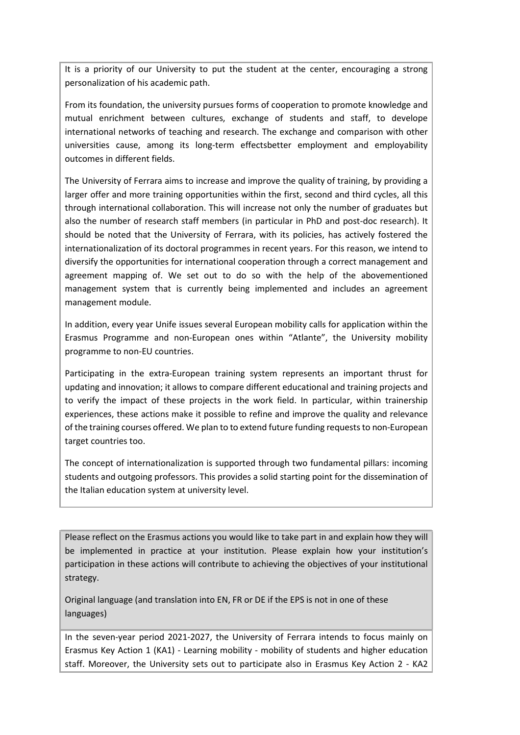It is a priority of our University to put the student at the center, encouraging a strong personalization of his academic path.

From its foundation, the university pursues forms of cooperation to promote knowledge and mutual enrichment between cultures, exchange of students and staff, to develope international networks of teaching and research. The exchange and comparison with other universities cause, among its long-term effectsbetter employment and employability outcomes in different fields.

The University of Ferrara aims to increase and improve the quality of training, by providing a larger offer and more training opportunities within the first, second and third cycles, all this through international collaboration. This will increase not only the number of graduates but also the number of research staff members (in particular in PhD and post-doc research). It should be noted that the University of Ferrara, with its policies, has actively fostered the internationalization of its doctoral programmes in recent years. For this reason, we intend to diversify the opportunities for international cooperation through a correct management and agreement mapping of. We set out to do so with the help of the abovementioned management system that is currently being implemented and includes an agreement management module.

In addition, every year Unife issues several European mobility calls for application within the Erasmus Programme and non-European ones within "Atlante", the University mobility programme to non-EU countries.

Participating in the extra-European training system represents an important thrust for updating and innovation; it allows to compare different educational and training projects and to verify the impact of these projects in the work field. In particular, within trainership experiences, these actions make it possible to refine and improve the quality and relevance of the training courses offered. We plan to to extend future funding requests to non-European target countries too.

The concept of internationalization is supported through two fundamental pillars: incoming students and outgoing professors. This provides a solid starting point for the dissemination of the Italian education system at university level.

Please reflect on the Erasmus actions you would like to take part in and explain how they will be implemented in practice at your institution. Please explain how your institution's participation in these actions will contribute to achieving the objectives of your institutional strategy.

Original language (and translation into EN, FR or DE if the EPS is not in one of these languages)

In the seven-year period 2021-2027, the University of Ferrara intends to focus mainly on Erasmus Key Action 1 (KA1) - Learning mobility - mobility of students and higher education staff. Moreover, the University sets out to participate also in Erasmus Key Action 2 - KA2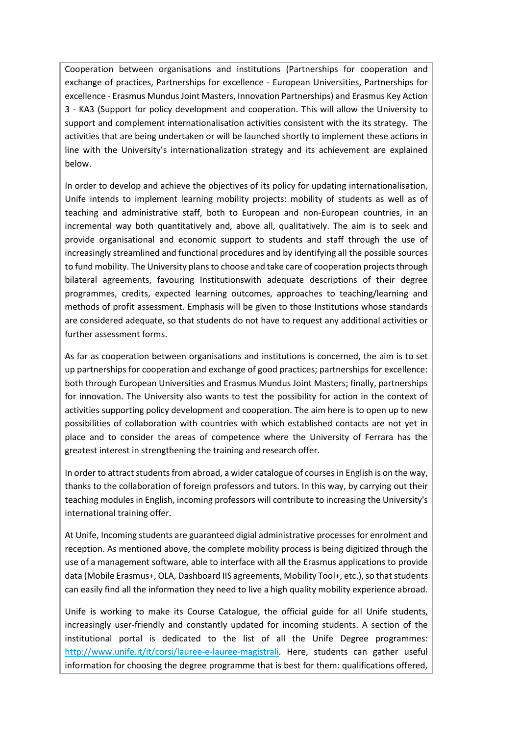Cooperation between organisations and institutions (Partnerships for cooperation and exchange of practices, Partnerships for excellence - European Universities, Partnerships for excellence - Erasmus Mundus Joint Masters, Innovation Partnerships) and Erasmus Key Action 3 - KA3 (Support for policy development and cooperation. This will allow the University to support and complement internationalisation activities consistent with the its strategy. The activities that are being undertaken or will be launched shortly to implement these actions in line with the University's internationalization strategy and its achievement are explained below.

In order to develop and achieve the objectives of its policy for updating internationalisation, Unife intends to implement learning mobility projects: mobility of students as well as of teaching and administrative staff, both to European and non-European countries, in an incremental way both quantitatively and, above all, qualitatively. The aim is to seek and provide organisational and economic support to students and staff through the use of increasingly streamlined and functional procedures and by identifying all the possible sources to fund mobility. The University plans to choose and take care of cooperation projects through bilateral agreements, favouring Institutionswith adequate descriptions of their degree programmes, credits, expected learning outcomes, approaches to teaching/learning and methods of profit assessment. Emphasis will be given to those Institutions whose standards are considered adequate, so that students do not have to request any additional activities or further assessment forms.

As far as cooperation between organisations and institutions is concerned, the aim is to set up partnerships for cooperation and exchange of good practices; partnerships for excellence: both through European Universities and Erasmus Mundus Joint Masters; finally, partnerships for innovation. The University also wants to test the possibility for action in the context of activities supporting policy development and cooperation. The aim here is to open up to new possibilities of collaboration with countries with which established contacts are not yet in place and to consider the areas of competence where the University of Ferrara has the greatest interest in strengthening the training and research offer.

In order to attract students from abroad, a wider catalogue of courses in English is on the way, thanks to the collaboration of foreign professors and tutors. In this way, by carrying out their teaching modules in English, incoming professors will contribute to increasing the University's international training offer.

At Unife, Incoming students are guaranteed digial administrative processes for enrolment and reception. As mentioned above, the complete mobility process is being digitized through the use of a management software, able to interface with all the Erasmus applications to provide data (Mobile Erasmus+, OLA, Dashboard IIS agreements, Mobility Tool+, etc.), so that students can easily find all the information they need to live a high quality mobility experience abroad.

Unife is working to make its Course Catalogue, the official guide for all Unife students, increasingly user-friendly and constantly updated for incoming students. A section of the institutional portal is dedicated to the list of all the Unife Degree programmes: http://www.unife.it/it/corsi/lauree-e-lauree-magistrali. Here, students can gather useful information for choosing the degree programme that is best for them: qualifications offered,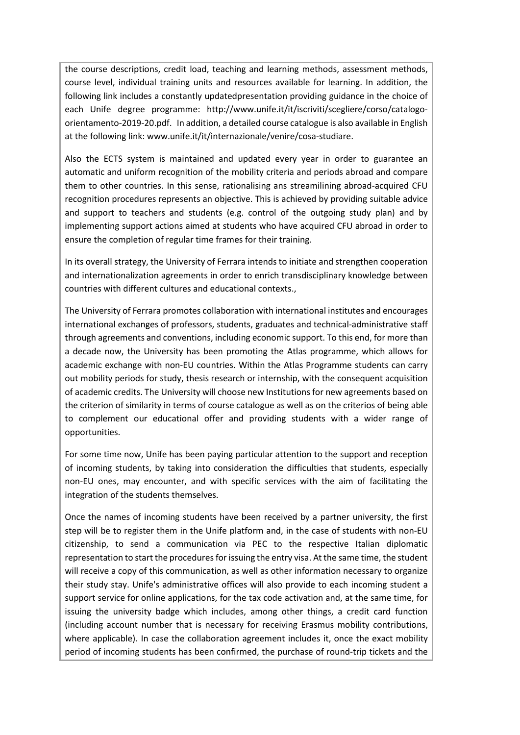the course descriptions, credit load, teaching and learning methods, assessment methods, course level, individual training units and resources available for learning. In addition, the following link includes a constantly updatedpresentation providing guidance in the choice of each Unife degree programme: http://www.unife.it/it/iscriviti/scegliere/corso/catalogoorientamento-2019-20.pdf. In addition, a detailed course catalogue is also available in English at the following link: www.unife.it/it/internazionale/venire/cosa-studiare.

Also the ECTS system is maintained and updated every year in order to guarantee an automatic and uniform recognition of the mobility criteria and periods abroad and compare them to other countries. In this sense, rationalising ans streamilining abroad-acquired CFU recognition procedures represents an objective. This is achieved by providing suitable advice and support to teachers and students (e.g. control of the outgoing study plan) and by implementing support actions aimed at students who have acquired CFU abroad in order to ensure the completion of regular time frames for their training.

In its overall strategy, the University of Ferrara intends to initiate and strengthen cooperation and internationalization agreements in order to enrich transdisciplinary knowledge between countries with different cultures and educational contexts.,

The University of Ferrara promotes collaboration with international institutes and encourages international exchanges of professors, students, graduates and technical-administrative staff through agreements and conventions, including economic support. To this end, for more than a decade now, the University has been promoting the Atlas programme, which allows for academic exchange with non-EU countries. Within the Atlas Programme students can carry out mobility periods for study, thesis research or internship, with the consequent acquisition of academic credits. The University will choose new Institutions for new agreements based on the criterion of similarity in terms of course catalogue as well as on the criterios of being able to complement our educational offer and providing students with a wider range of opportunities.

For some time now, Unife has been paying particular attention to the support and reception of incoming students, by taking into consideration the difficulties that students, especially non-EU ones, may encounter, and with specific services with the aim of facilitating the integration of the students themselves.

Once the names of incoming students have been received by a partner university, the first step will be to register them in the Unife platform and, in the case of students with non-EU citizenship, to send a communication via PEC to the respective Italian diplomatic representation to start the procedures for issuing the entry visa. At the same time, the student will receive a copy of this communication, as well as other information necessary to organize their study stay. Unife's administrative offices will also provide to each incoming student a support service for online applications, for the tax code activation and, at the same time, for issuing the university badge which includes, among other things, a credit card function (including account number that is necessary for receiving Erasmus mobility contributions, where applicable). In case the collaboration agreement includes it, once the exact mobility period of incoming students has been confirmed, the purchase of round-trip tickets and the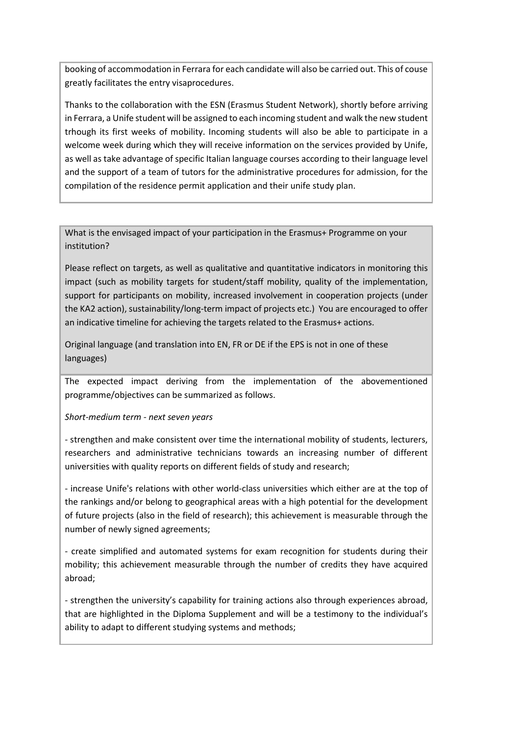booking of accommodation in Ferrara for each candidate will also be carried out. This of couse greatly facilitates the entry visaprocedures.

Thanks to the collaboration with the ESN (Erasmus Student Network), shortly before arriving in Ferrara, a Unife student will be assigned to each incoming student and walk the new student trhough its first weeks of mobility. Incoming students will also be able to participate in a welcome week during which they will receive information on the services provided by Unife, as well as take advantage of specific Italian language courses according to their language level and the support of a team of tutors for the administrative procedures for admission, for the compilation of the residence permit application and their unife study plan.

What is the envisaged impact of your participation in the Erasmus+ Programme on your institution?

Please reflect on targets, as well as qualitative and quantitative indicators in monitoring this impact (such as mobility targets for student/staff mobility, quality of the implementation, support for participants on mobility, increased involvement in cooperation projects (under the KA2 action), sustainability/long-term impact of projects etc.) You are encouraged to offer an indicative timeline for achieving the targets related to the Erasmus+ actions.

Original language (and translation into EN, FR or DE if the EPS is not in one of these languages)

The expected impact deriving from the implementation of the abovementioned programme/objectives can be summarized as follows.

## Short-medium term - next seven years

- strengthen and make consistent over time the international mobility of students, lecturers, researchers and administrative technicians towards an increasing number of different universities with quality reports on different fields of study and research;

- increase Unife's relations with other world-class universities which either are at the top of the rankings and/or belong to geographical areas with a high potential for the development of future projects (also in the field of research); this achievement is measurable through the number of newly signed agreements;

- create simplified and automated systems for exam recognition for students during their mobility; this achievement measurable through the number of credits they have acquired abroad;

- strengthen the university's capability for training actions also through experiences abroad, that are highlighted in the Diploma Supplement and will be a testimony to the individual's ability to adapt to different studying systems and methods;